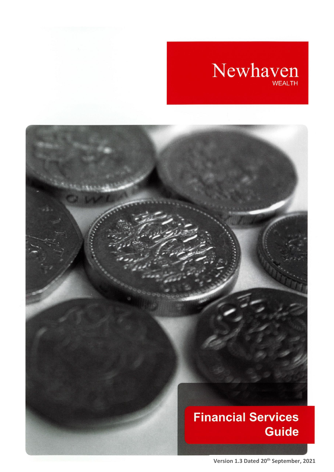# Newhaven

# **Financial Services Guide**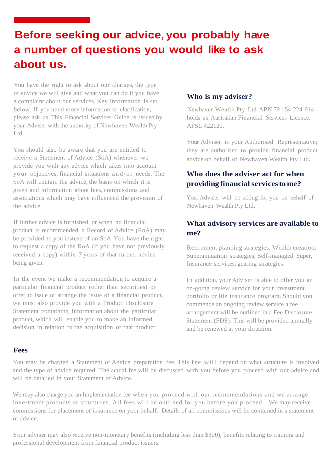# **Before seeking our advice, you probably have a number of questions you would like to ask about us.**

You have the right to ask about our charges, the type of advice we will give and what you can do if you have a complaint about our services. Key information is set below. If you need more information or clarification, please ask us. This Financial Services Guide is issued by your Adviser with the authority of Newhaven Wealth Pty Ltd.

You should also be aware that you are entitled to receive a Statement of Advice (SoA) whenever we provide you with any advice which takes into account your objectives, financial situations and/or needs. The SoA will contain the advice, the basis on which it is given and information about fees, commissions and associations which may have influenced the provision of the advice.

If further advice is furnished, or when no financial product is recommended, a Record of Advice (RoA) may be provided to you instead of an SoA.You have the right to request a copy of the RoA (if you have not previously received a copy) within 7 years of that further advice being given.

In the event we make a recommendation to acquire a particular financial product (other than securities) or offer to issue or arrange the issue of a financial product, we must also provide you with a Product Disclosure Statement containing information about the particular product, which will enable you to make an informed decision in relation to the acquisition of that product.

#### **Who is my adviser?**

Newhaven Wealth Pty Ltd ABN 79 154 224 914 holds an Australian Financial Services Licence, AFSL 422120.

Your Adviser is your Authorised Representative; they are authorised to provide financial product advice on behalf of Newhaven Wealth Pty Ltd.

## **Who does the adviser act for when providing financialservicesto me?**

Your Adviser will be acting for you on behalf of Newhaven Wealth Pty Ltd.

## **What advisory services are available to me?**

Retirement planning strategies, Wealth creation, Superannuation strategies, Self-managed Super, Insurance services, gearing strategies.

In addition, your Adviser is able to offer you an on-going review service for your investment portfolio or life insurance program. Should you commence an ongoing review service a fee arrangement will be outlined in a Fee Disclosure Statement (FDS). This will be provided annually and be renewed at your direction.

#### **Fees**

You may be charged a Statement of Advice preparation fee. This fee will depend on what structure is involved and the type of advice required. The actual fee will be discussed with you before you proceed with our advice and will be detailed in your Statement of Advice.

We may also charge you an Implementation fee when you proceed with our recommendations and we arrange investment products or structures. All fees will be outlined for you before you proceed. We may receive commissions for placement of insurance on your behalf. Details of all commissions will be contained in a statement of advice.

Your adviser may also receive non-monetary benefits (including less than \$300), benefits relating to training and professional development from financial product issuers.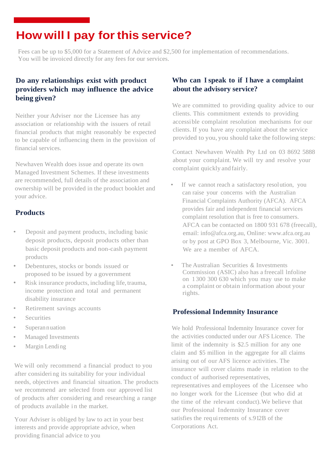# **How will I pay forthis service?**

Fees can be up to \$5,000 for a Statement of Advice and \$2,500 for implementation of recommendations. You will be invoiced directly for any fees for our services.

#### **Do any relationships exist with product providers which may influence the advice being given?**

Neither your Adviser nor the Licensee has any association or relationship with the issuers of retail financial products that might reasonably be expected to be capable of influencing them in the provision of financial services.

Newhaven Wealth does issue and operate its own Managed Investment Schemes. If these investments are recommended, full details of the association and ownership will be provided in the product booklet and your advice.

## **Products**

- Deposit and payment products, including basic deposit products, deposit products other than basic deposit products and non-cash payment products
- Debentures, stocks or bonds issued or proposed to be issued by a government
- Risk insurance products, including life, trauma, income protection and total and permanent disability insurance
- Retirement savings accounts
- **Securities**
- Superan nuation
- Managed Investments
- Margin Lending

We will only recommend a financial product to you after considering its suitability for your individual needs, objectives and financial situation. The products we recommend are selected from our approved list of products after considering and researching a range of products available in the market.

Your Adviser is obliged by law to act in your best interests and provide appropriate advice, when providing financial advice to you

#### **Who can I speak to if I have a complaint about the advisory service?**

We are committed to providing quality advice to our clients. This commitment extends to providing accessible complaint resolution mechanisms for our clients. If you have any complaint about the service provided to you, you should take the following steps:

Contact Newhaven Wealth Pty Ltd on 03 8692 5888 about your complaint. We will try and resolve your complaint quickly and fairly.

- If we cannot reach a satisfactory resolution, you can raise your concerns with the Australian Financial Complaints Authority (AFCA). AFCA provides fair and independent financial services complaint resolution that is free to consumers. AFCA can be contacted on 1800 931 678 (freecall), email: [info@afca.org.au,](mailto:info@afca.org.au) Online: [www.afca.org.au](http://www.afca.org.au/) or by post at GPO Box 3, Melbourne, Vic. 3001. We are a member of AFCA.
- The Australian Securities & Investments Commission (ASIC) also has a freecall lnfoline on 1 300 300 630 which you may use to make a complaint or obtain information about your rights.

#### **Professional Indemnity Insurance**

We hold Professional Indemnity Insurance cover for the activities conducted under our AFS Licence. The limit of the indemnity is \$2.5 million for any one claim and \$5 million in the aggregate for all claims arising out of our AFS licence activities. The insurance will cover claims made in relation to the conduct of authorised representatives, representatives and employees of the Licensee who no longer work for the Licensee (but who did at the time of the relevant conduct).We believe that our Professional Indemnity Insurance cover satisfies the requirements of s.912B of the Corporations Act.